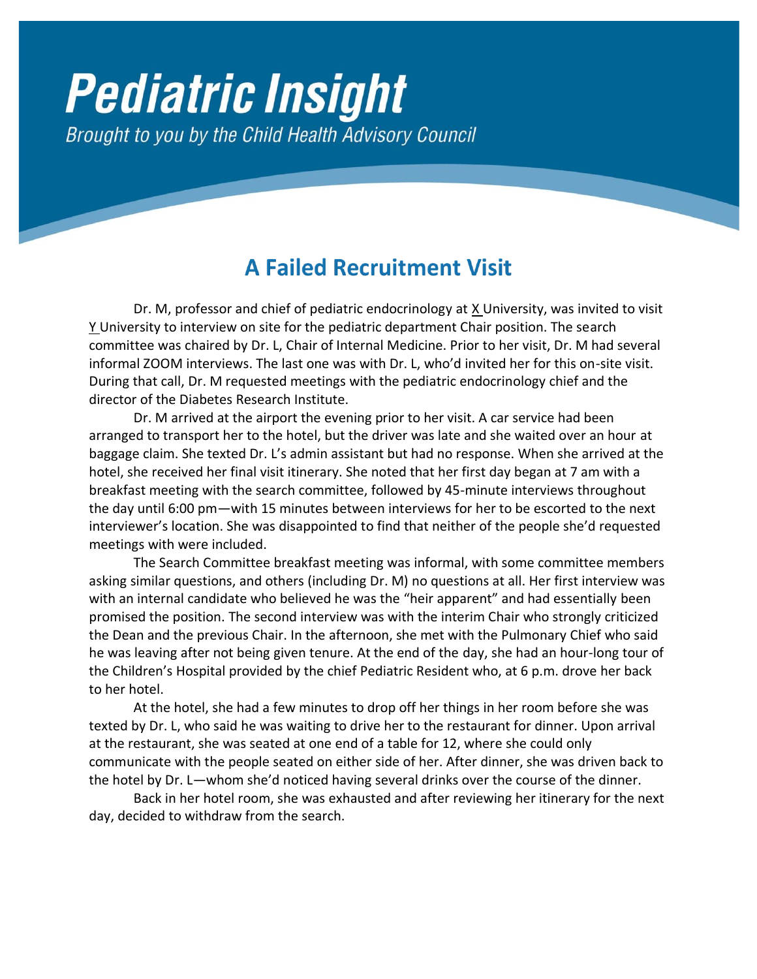## **Pediatric Insight** Brought to you by the Child Health Advisory Council

## **A Failed Recruitment Visit**

Dr. M, professor and chief of pediatric endocrinology at X University, was invited to visit Y University to interview on site for the pediatric department Chair position. The search committee was chaired by Dr. L, Chair of Internal Medicine. Prior to her visit, Dr. M had several informal ZOOM interviews. The last one was with Dr. L, who'd invited her for this on-site visit. During that call, Dr. M requested meetings with the pediatric endocrinology chief and the director of the Diabetes Research Institute.

Dr. M arrived at the airport the evening prior to her visit. A car service had been arranged to transport her to the hotel, but the driver was late and she waited over an hour at baggage claim. She texted Dr. L's admin assistant but had no response. When she arrived at the hotel, she received her final visit itinerary. She noted that her first day began at 7 am with a breakfast meeting with the search committee, followed by 45-minute interviews throughout the day until 6:00 pm—with 15 minutes between interviews for her to be escorted to the next interviewer's location. She was disappointed to find that neither of the people she'd requested meetings with were included.

The Search Committee breakfast meeting was informal, with some committee members asking similar questions, and others (including Dr. M) no questions at all. Her first interview was with an internal candidate who believed he was the "heir apparent" and had essentially been promised the position. The second interview was with the interim Chair who strongly criticized the Dean and the previous Chair. In the afternoon, she met with the Pulmonary Chief who said he was leaving after not being given tenure. At the end of the day, she had an hour-long tour of the Children's Hospital provided by the chief Pediatric Resident who, at 6 p.m. drove her back to her hotel.

At the hotel, she had a few minutes to drop off her things in her room before she was texted by Dr. L, who said he was waiting to drive her to the restaurant for dinner. Upon arrival at the restaurant, she was seated at one end of a table for 12, where she could only communicate with the people seated on either side of her. After dinner, she was driven back to the hotel by Dr. L—whom she'd noticed having several drinks over the course of the dinner.

Back in her hotel room, she was exhausted and after reviewing her itinerary for the next day, decided to withdraw from the search.